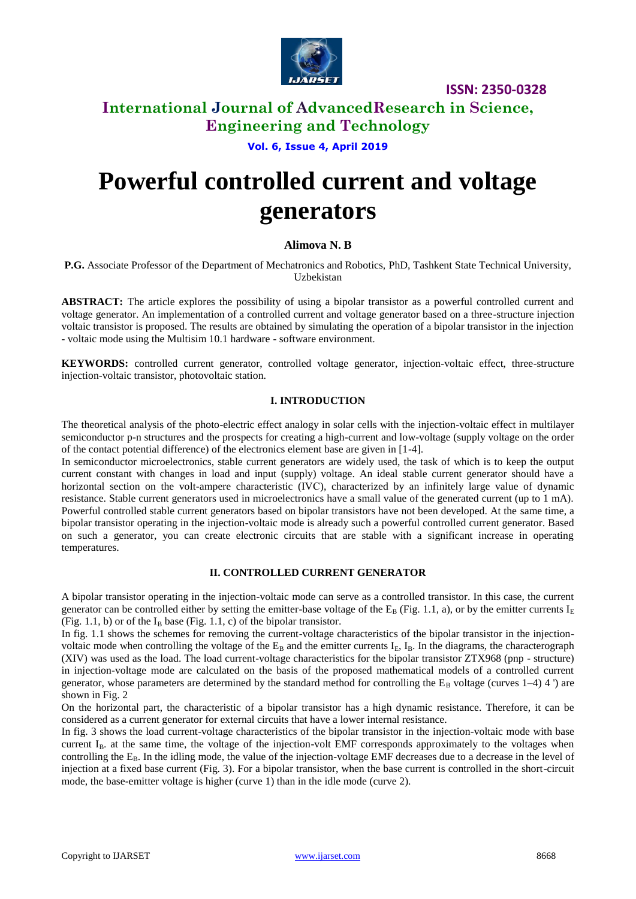

### **International Journal of AdvancedResearch in Science, Engineering and Technology**

**Vol. 6, Issue 4, April 2019**

# **Powerful controlled current and voltage generators**

#### **Alimova N. B**

**P.G.** Associate Professor of the Department of Mechatronics and Robotics, PhD, Tashkent State Technical University, Uzbekistan

**ABSTRACT:** The article explores the possibility of using a bipolar transistor as a powerful controlled current and voltage generator. An implementation of a controlled current and voltage generator based on a three-structure injection voltaic transistor is proposed. The results are obtained by simulating the operation of a bipolar transistor in the injection - voltaic mode using the Multisim 10.1 hardware - software environment.

**KEYWORDS:** controlled current generator, controlled voltage generator, injection-voltaic effect, three-structure injection-voltaic transistor, photovoltaic station.

#### **I. INTRODUCTION**

The theoretical analysis of the photo-electric effect analogy in solar cells with the injection-voltaic effect in multilayer semiconductor p-n structures and the prospects for creating a high-current and low-voltage (supply voltage on the order of the contact potential difference) of the electronics element base are given in [1-4].

In semiconductor microelectronics, stable current generators are widely used, the task of which is to keep the output current constant with changes in load and input (supply) voltage. An ideal stable current generator should have a horizontal section on the volt-ampere characteristic (IVC), characterized by an infinitely large value of dynamic resistance. Stable current generators used in microelectronics have a small value of the generated current (up to 1 mA). Powerful controlled stable current generators based on bipolar transistors have not been developed. At the same time, a bipolar transistor operating in the injection-voltaic mode is already such a powerful controlled current generator. Based on such a generator, you can create electronic circuits that are stable with a significant increase in operating temperatures.

#### **II. CONTROLLED CURRENT GENERATOR**

A bipolar transistor operating in the injection-voltaic mode can serve as a controlled transistor. In this case, the current generator can be controlled either by setting the emitter-base voltage of the  $E_B$  (Fig. 1.1, a), or by the emitter currents  $I_E$ (Fig. 1.1, b) or of the  $I_B$  base (Fig. 1.1, c) of the bipolar transistor.

In fig. 1.1 shows the schemes for removing the current-voltage characteristics of the bipolar transistor in the injectionvoltaic mode when controlling the voltage of the  $E_B$  and the emitter currents I<sub>E</sub>, I<sub>B</sub>. In the diagrams, the characterograph (XIV) was used as the load. The load current-voltage characteristics for the bipolar transistor ZTX968 (pnp - structure) in injection-voltage mode are calculated on the basis of the proposed mathematical models of a controlled current generator, whose parameters are determined by the standard method for controlling the  $E_B$  voltage (curves 1–4) 4 ') are shown in Fig. 2

On the horizontal part, the characteristic of a bipolar transistor has a high dynamic resistance. Therefore, it can be considered as a current generator for external circuits that have a lower internal resistance.

In fig. 3 shows the load current-voltage characteristics of the bipolar transistor in the injection-voltaic mode with base current  $I_B$ , at the same time, the voltage of the injection-volt EMF corresponds approximately to the voltages when controlling the  $E_B$ . In the idling mode, the value of the injection-voltage EMF decreases due to a decrease in the level of injection at a fixed base current (Fig. 3). For a bipolar transistor, when the base current is controlled in the short-circuit mode, the base-emitter voltage is higher (curve 1) than in the idle mode (curve 2).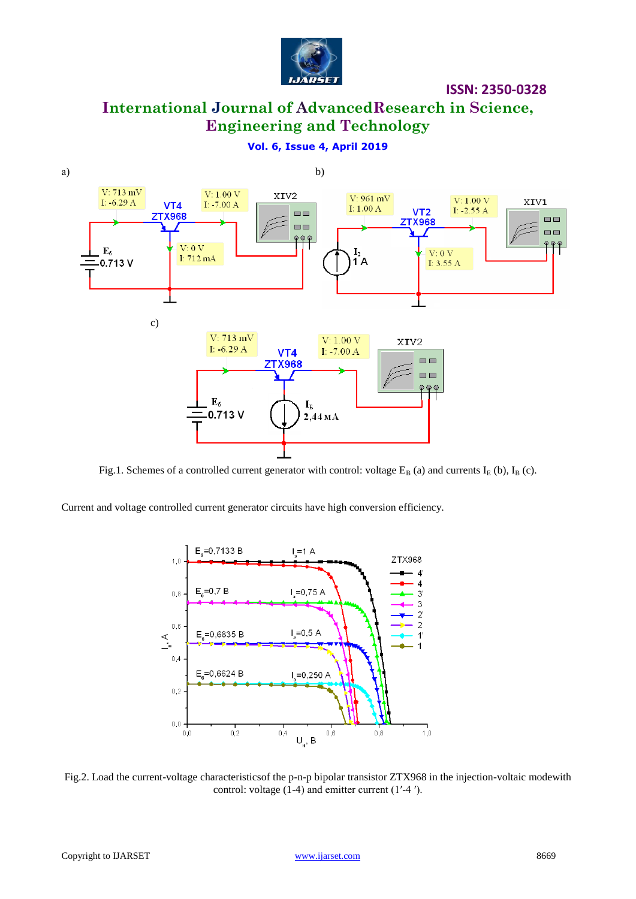

# **International Journal of AdvancedResearch in Science, Engineering and Technology**

**Vol. 6, Issue 4, April 2019**



Fig.1. Schemes of a controlled current generator with control: voltage  $E_B$  (a) and currents  $I_E$  (b),  $I_B$  (c).

Current and voltage controlled current generator circuits have high conversion efficiency.



Fig.2. Load the current-voltage characteristicsof the p-n-p bipolar transistor ZTX968 in the injection-voltaic modewith control: voltage (1-4) and emitter current (1′-4 ′).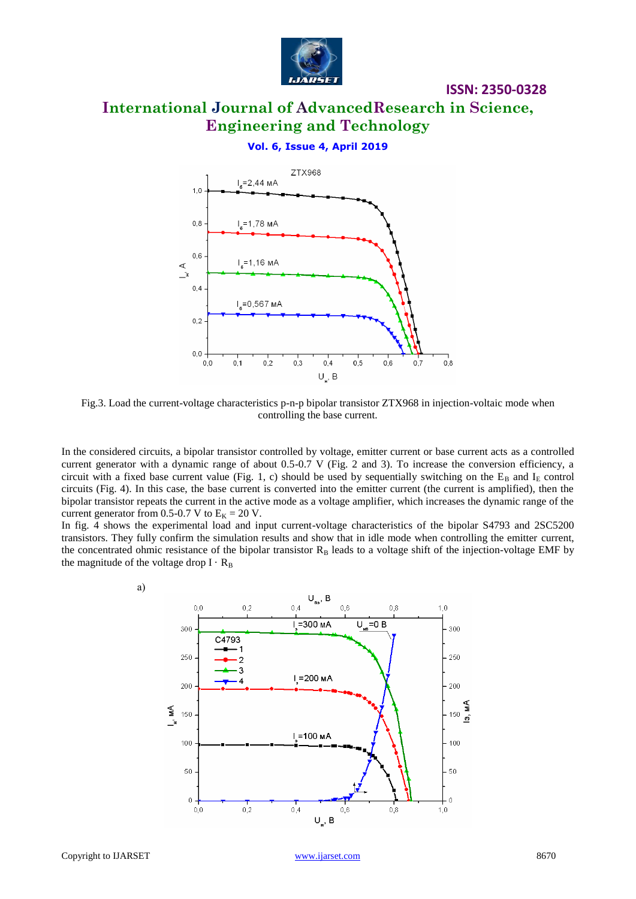

# **International Journal of AdvancedResearch in Science, Engineering and Technology**

**ISSN: 2350-0328**

#### **Vol. 6, Issue 4, April 2019**



Fig.3. Load the current-voltage characteristics p-n-p bipolar transistor ZTX968 in injection-voltaic mode when controlling the base current.

In the considered circuits, a bipolar transistor controlled by voltage, emitter current or base current acts as a controlled current generator with a dynamic range of about 0.5-0.7 V (Fig. 2 and 3). To increase the conversion efficiency, a circuit with a fixed base current value (Fig. 1, c) should be used by sequentially switching on the  $E_B$  and  $I_E$  control circuits (Fig. 4). In this case, the base current is converted into the emitter current (the current is amplified), then the bipolar transistor repeats the current in the active mode as a voltage amplifier, which increases the dynamic range of the current generator from 0.5-0.7 V to  $E_K = 20$  V.

In fig. 4 shows the experimental load and input current-voltage characteristics of the bipolar S4793 and 2SC5200 transistors. They fully confirm the simulation results and show that in idle mode when controlling the emitter current, the concentrated ohmic resistance of the bipolar transistor  $R_B$  leads to a voltage shift of the injection-voltage EMF by the magnitude of the voltage drop  $I \cdot R_B$ 

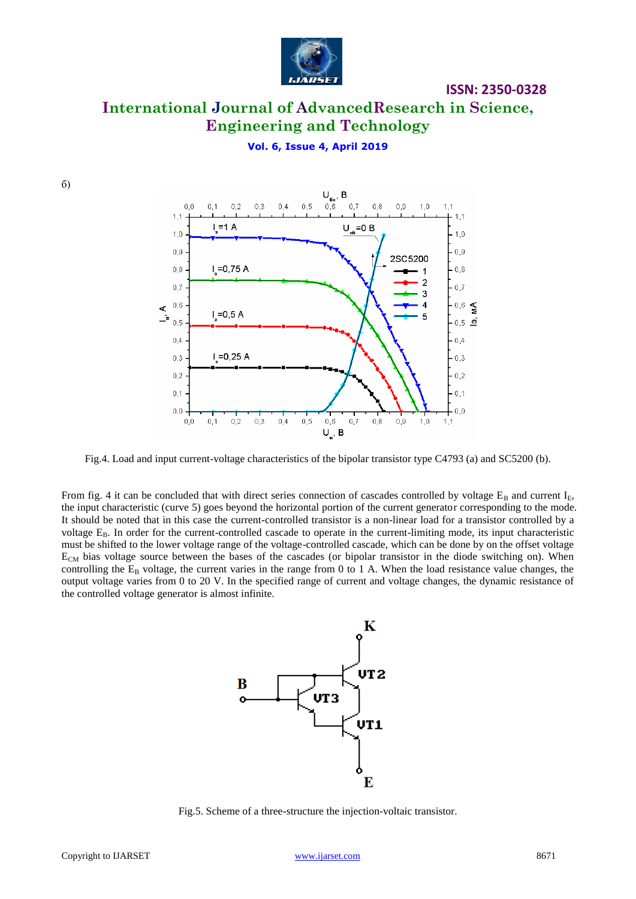

### **International Journal of AdvancedResearch in Science, Engineering and Technology**

#### **Vol. 6, Issue 4, April 2019**





Fig.4. Load and input current-voltage characteristics of the bipolar transistor type C4793 (a) and SC5200 (b).

From fig. 4 it can be concluded that with direct series connection of cascades controlled by voltage  $E_B$  and current  $I_E$ , the input characteristic (curve 5) goes beyond the horizontal portion of the current generator corresponding to the mode. It should be noted that in this case the current-controlled transistor is a non-linear load for a transistor controlled by a voltage  $E_{\rm B}$ . In order for the current-controlled cascade to operate in the current-limiting mode, its input characteristic must be shifted to the lower voltage range of the voltage-controlled cascade, which can be done by on the offset voltage  $E_{CM}$  bias voltage source between the bases of the cascades (or bipolar transistor in the diode switching on). When controlling the  $E_B$  voltage, the current varies in the range from 0 to 1 A. When the load resistance value changes, the output voltage varies from 0 to 20 V. In the specified range of current and voltage changes, the dynamic resistance of the controlled voltage generator is almost infinite.



Fig.5. Scheme of a three-structure the injection-voltaic transistor.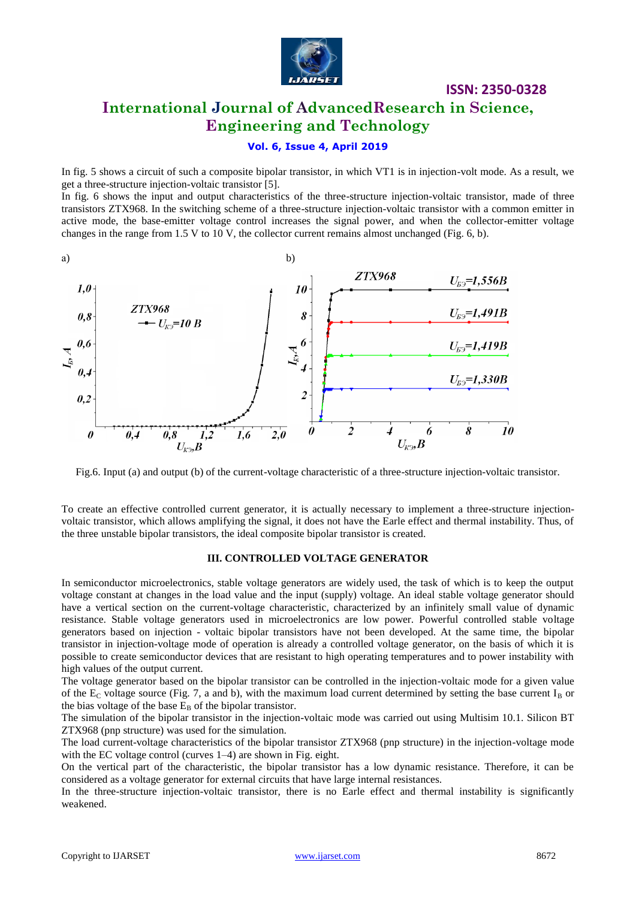

### **International Journal of AdvancedResearch in Science, Engineering and Technology**

#### **Vol. 6, Issue 4, April 2019**

In fig. 5 shows a circuit of such a composite bipolar transistor, in which VT1 is in injection-volt mode. As a result, we get a three-structure injection-voltaic transistor [5].

In fig. 6 shows the input and output characteristics of the three-structure injection-voltaic transistor, made of three transistors ZTX968. In the switching scheme of a three-structure injection-voltaic transistor with a common emitter in active mode, the base-emitter voltage control increases the signal power, and when the collector-emitter voltage changes in the range from 1.5 V to 10 V, the collector current remains almost unchanged (Fig. 6, b).



Fig.6. Input (a) and output (b) of the current-voltage characteristic of a three-structure injection-voltaic transistor.

To create an effective controlled current generator, it is actually necessary to implement a three-structure injectionvoltaic transistor, which allows amplifying the signal, it does not have the Earle effect and thermal instability. Thus, of the three unstable bipolar transistors, the ideal composite bipolar transistor is created.

#### **III. CONTROLLED VOLTAGE GENERATOR**

In semiconductor microelectronics, stable voltage generators are widely used, the task of which is to keep the output voltage constant at changes in the load value and the input (supply) voltage. An ideal stable voltage generator should have a vertical section on the current-voltage characteristic, characterized by an infinitely small value of dynamic resistance. Stable voltage generators used in microelectronics are low power. Powerful controlled stable voltage generators based on injection - voltaic bipolar transistors have not been developed. At the same time, the bipolar transistor in injection-voltage mode of operation is already a controlled voltage generator, on the basis of which it is possible to create semiconductor devices that are resistant to high operating temperatures and to power instability with high values of the output current.

The voltage generator based on the bipolar transistor can be controlled in the injection-voltaic mode for a given value of the  $E_C$  voltage source (Fig. 7, a and b), with the maximum load current determined by setting the base current  $I_B$  or the bias voltage of the base  $E_B$  of the bipolar transistor.

The simulation of the bipolar transistor in the injection-voltaic mode was carried out using Multisim 10.1. Silicon BT ZTX968 (pnp structure) was used for the simulation.

The load current-voltage characteristics of the bipolar transistor ZTX968 (pnp structure) in the injection-voltage mode with the EC voltage control (curves 1–4) are shown in Fig. eight.

On the vertical part of the characteristic, the bipolar transistor has a low dynamic resistance. Therefore, it can be considered as a voltage generator for external circuits that have large internal resistances.

In the three-structure injection-voltaic transistor, there is no Earle effect and thermal instability is significantly weakened.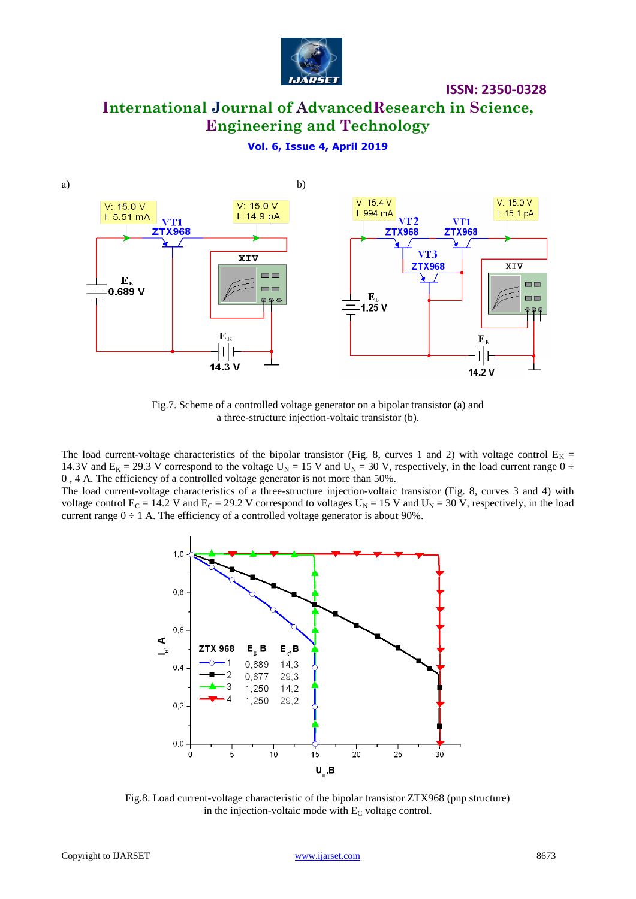

# **International Journal of AdvancedResearch in Science, Engineering and Technology**

#### **Vol. 6, Issue 4, April 2019**



Fig.7. Scheme of a controlled voltage generator on a bipolar transistor (a) and a three-structure injection-voltaic transistor (b).

The load current-voltage characteristics of the bipolar transistor (Fig. 8, curves 1 and 2) with voltage control  $E_K =$ 14.3V and  $E_K = 29.3$  V correspond to the voltage  $U_N = 15$  V and  $U_N = 30$  V, respectively, in the load current range  $0 \div$ 0 , 4 A. The efficiency of a controlled voltage generator is not more than 50%.

The load current-voltage characteristics of a three-structure injection-voltaic transistor (Fig. 8, curves 3 and 4) with voltage control  $E_C = 14.2$  V and  $E_C = 29.2$  V correspond to voltages  $U_N = 15$  V and  $U_N = 30$  V, respectively, in the load current range  $0 \div 1$  A. The efficiency of a controlled voltage generator is about 90%.



Fig.8. Load current-voltage characteristic of the bipolar transistor ZTX968 (pnp structure) in the injection-voltaic mode with  $E_C$  voltage control.